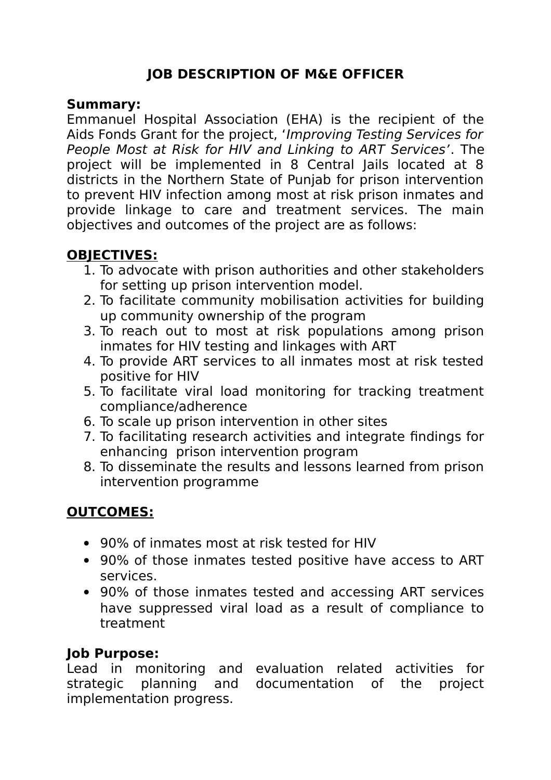# **JOB DESCRIPTION OF M&E OFFICER**

#### **Summary:**

Emmanuel Hospital Association (EHA) is the recipient of the Aids Fonds Grant for the project, 'Improving Testing Services for People Most at Risk for HIV and Linking to ART Services'. The project will be implemented in 8 Central Jails located at 8 districts in the Northern State of Punjab for prison intervention to prevent HIV infection among most at risk prison inmates and provide linkage to care and treatment services. The main objectives and outcomes of the project are as follows:

# **OBJECTIVES:**

- 1. To advocate with prison authorities and other stakeholders for setting up prison intervention model.
- 2. To facilitate community mobilisation activities for building up community ownership of the program
- 3. To reach out to most at risk populations among prison inmates for HIV testing and linkages with ART
- 4. To provide ART services to all inmates most at risk tested positive for HIV
- 5. To facilitate viral load monitoring for tracking treatment compliance/adherence
- 6. To scale up prison intervention in other sites
- 7. To facilitating research activities and integrate findings for enhancing prison intervention program
- 8. To disseminate the results and lessons learned from prison intervention programme

### **OUTCOMES:**

- 90% of inmates most at risk tested for HIV
- 90% of those inmates tested positive have access to ART services.
- 90% of those inmates tested and accessing ART services have suppressed viral load as a result of compliance to treatment

#### **Job Purpose:**

Lead in monitoring and evaluation related activities for strategic planning and documentation of the project implementation progress.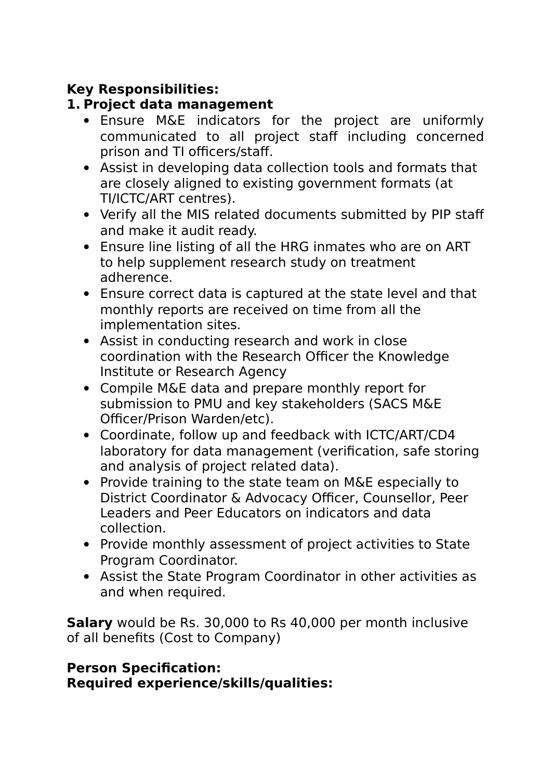## **Key Responsibilities:**

## **1. Project data management**

- Ensure M&E indicators for the project are uniformly communicated to all project staff including concerned prison and TI officers/staff.
- Assist in developing data collection tools and formats that are closely aligned to existing government formats (at TI/ICTC/ART centres).
- Verify all the MIS related documents submitted by PIP staff and make it audit ready.
- Ensure line listing of all the HRG inmates who are on ART to help supplement research study on treatment adherence.
- Ensure correct data is captured at the state level and that monthly reports are received on time from all the implementation sites.
- Assist in conducting research and work in close coordination with the Research Officer the Knowledge Institute or Research Agency
- Compile M&E data and prepare monthly report for submission to PMU and key stakeholders (SACS M&E Officer/Prison Warden/etc).
- Coordinate, follow up and feedback with ICTC/ART/CD4 laboratory for data management (verification, safe storing and analysis of project related data).
- Provide training to the state team on M&E especially to District Coordinator & Advocacy Officer, Counsellor, Peer Leaders and Peer Educators on indicators and data collection.
- Provide monthly assessment of project activities to State Program Coordinator.
- Assist the State Program Coordinator in other activities as and when required.

**Salary** would be Rs. 30,000 to Rs 40,000 per month inclusive of all benefits (Cost to Company)

### **Person Specification: Required experience/skills/qualities:**